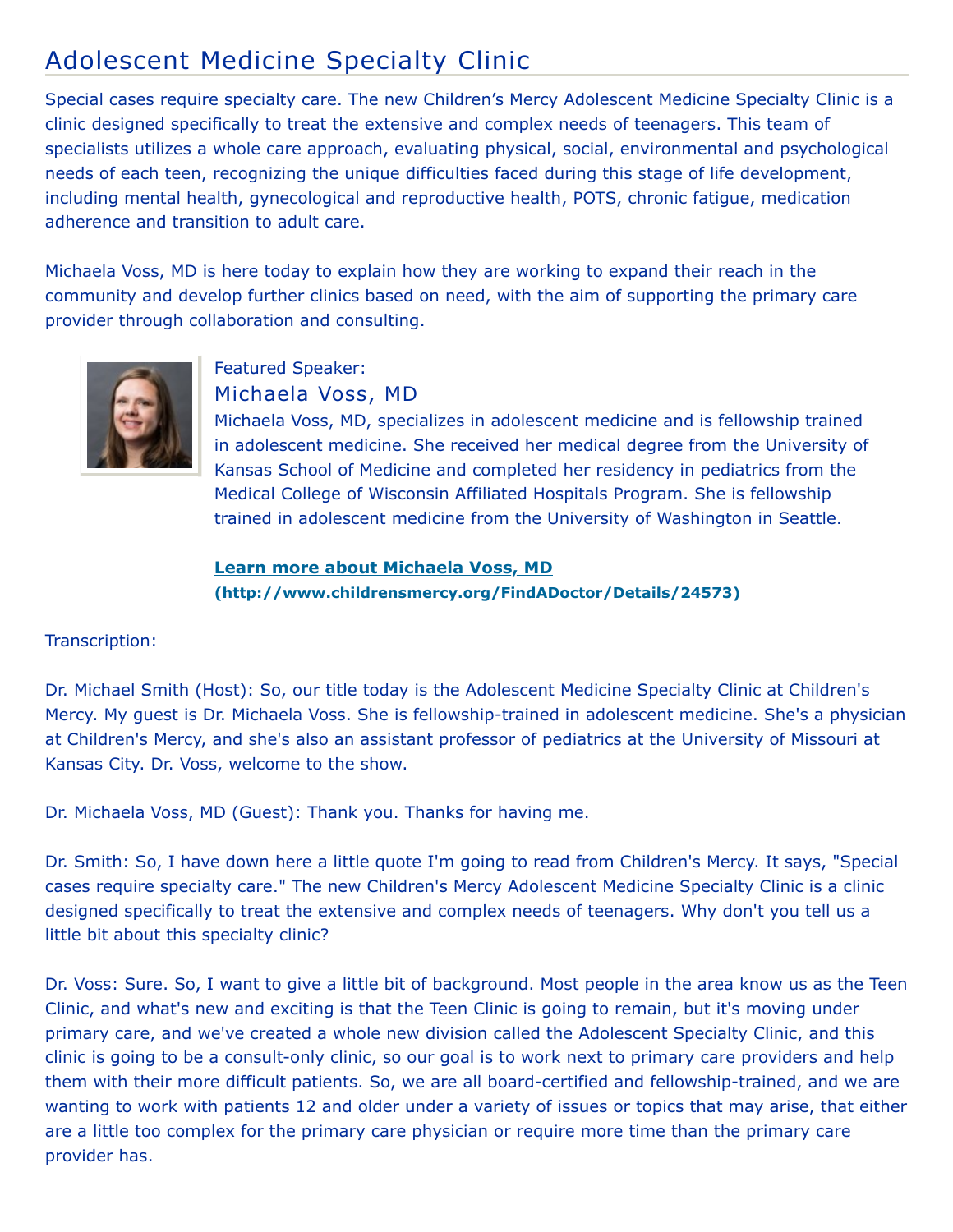## Adolescent Medicine Specialty Clinic

Special cases require specialty care. The new Children's Mercy Adolescent Medicine Specialty Clinic is a clinic designed specifically to treat the extensive and complex needs of teenagers. This team of specialists utilizes a whole care approach, evaluating physical, social, environmental and psychological needs of each teen, recognizing the unique difficulties faced during this stage of life development, including mental health, gynecological and reproductive health, POTS, chronic fatigue, medication adherence and transition to adult care.

Michaela Voss, MD is here today to explain how they are working to expand their reach in the community and develop further clinics based on need, with the aim of supporting the primary care provider through collaboration and consulting.



## Featured Speaker: Michaela Voss, MD

Michaela Voss, MD, specializes in adolescent medicine and is fellowship trained in adolescent medicine. She received her medical degree from the University of Kansas School of Medicine and completed her residency in pediatrics from the Medical College of Wisconsin Affiliated Hospitals Program. She is fellowship trained in adolescent medicine from the University of Washington in Seattle.

**Learn more about Michaela Voss, MD [\(http://www.childrensmercy.org/FindADoctor/Details/24573\)](http://www.childrensmercy.org/FindADoctor/Details/24573)**

## Transcription:

Dr. Michael Smith (Host): So, our title today is the Adolescent Medicine Specialty Clinic at Children's Mercy. My guest is Dr. Michaela Voss. She is fellowship-trained in adolescent medicine. She's a physician at Children's Mercy, and she's also an assistant professor of pediatrics at the University of Missouri at Kansas City. Dr. Voss, welcome to the show.

Dr. Michaela Voss, MD (Guest): Thank you. Thanks for having me.

Dr. Smith: So, I have down here a little quote I'm going to read from Children's Mercy. It says, "Special cases require specialty care." The new Children's Mercy Adolescent Medicine Specialty Clinic is a clinic designed specifically to treat the extensive and complex needs of teenagers. Why don't you tell us a little bit about this specialty clinic?

Dr. Voss: Sure. So, I want to give a little bit of background. Most people in the area know us as the Teen Clinic, and what's new and exciting is that the Teen Clinic is going to remain, but it's moving under primary care, and we've created a whole new division called the Adolescent Specialty Clinic, and this clinic is going to be a consult-only clinic, so our goal is to work next to primary care providers and help them with their more difficult patients. So, we are all board-certified and fellowship-trained, and we are wanting to work with patients 12 and older under a variety of issues or topics that may arise, that either are a little too complex for the primary care physician or require more time than the primary care provider has.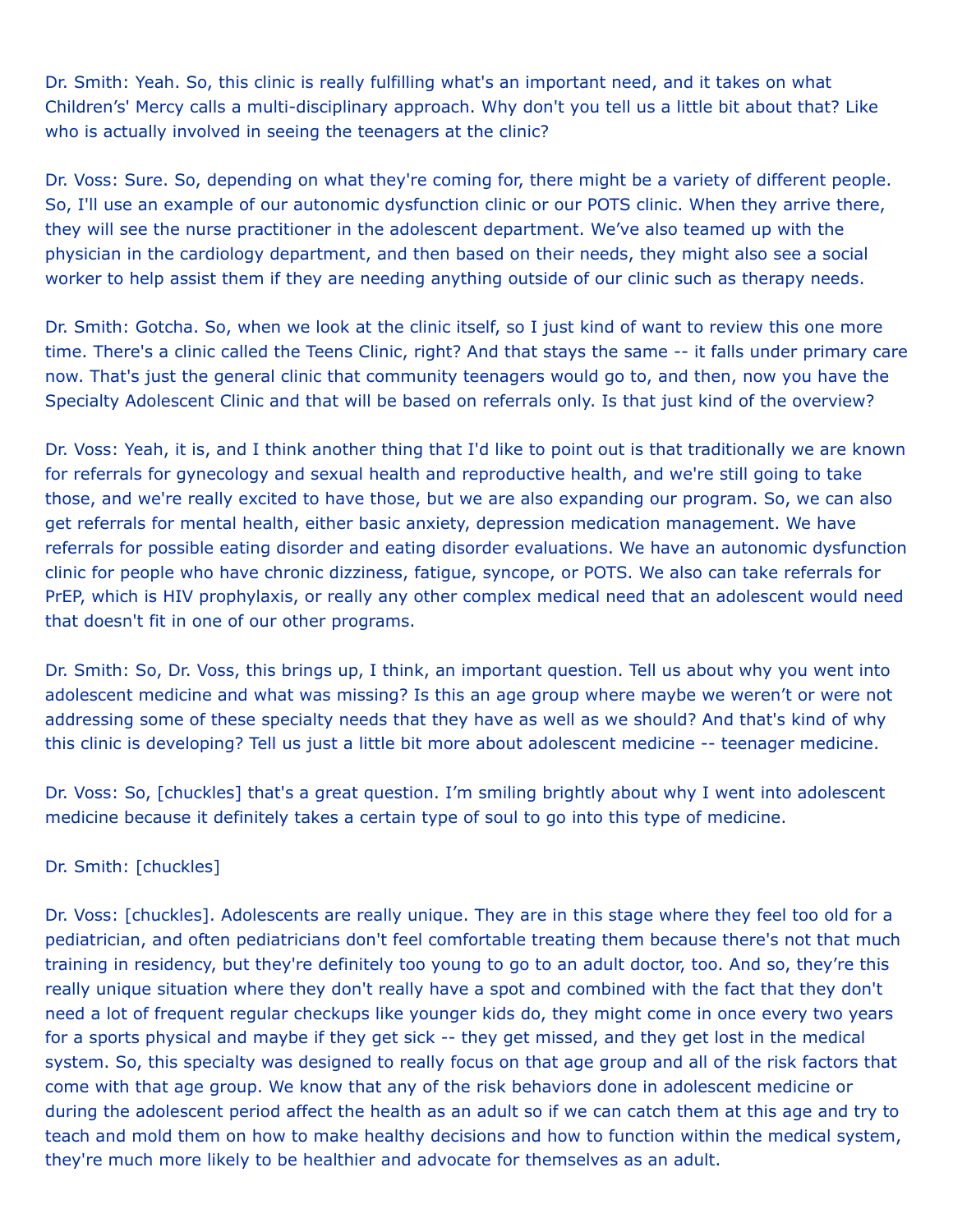Dr. Smith: Yeah. So, this clinic is really fulfilling what's an important need, and it takes on what Children's' Mercy calls a multi-disciplinary approach. Why don't you tell us a little bit about that? Like who is actually involved in seeing the teenagers at the clinic?

Dr. Voss: Sure. So, depending on what they're coming for, there might be a variety of different people. So, I'll use an example of our autonomic dysfunction clinic or our POTS clinic. When they arrive there, they will see the nurse practitioner in the adolescent department. We've also teamed up with the physician in the cardiology department, and then based on their needs, they might also see a social worker to help assist them if they are needing anything outside of our clinic such as therapy needs.

Dr. Smith: Gotcha. So, when we look at the clinic itself, so I just kind of want to review this one more time. There's a clinic called the Teens Clinic, right? And that stays the same -- it falls under primary care now. That's just the general clinic that community teenagers would go to, and then, now you have the Specialty Adolescent Clinic and that will be based on referrals only. Is that just kind of the overview?

Dr. Voss: Yeah, it is, and I think another thing that I'd like to point out is that traditionally we are known for referrals for gynecology and sexual health and reproductive health, and we're still going to take those, and we're really excited to have those, but we are also expanding our program. So, we can also get referrals for mental health, either basic anxiety, depression medication management. We have referrals for possible eating disorder and eating disorder evaluations. We have an autonomic dysfunction clinic for people who have chronic dizziness, fatigue, syncope, or POTS. We also can take referrals for PrEP, which is HIV prophylaxis, or really any other complex medical need that an adolescent would need that doesn't fit in one of our other programs.

Dr. Smith: So, Dr. Voss, this brings up, I think, an important question. Tell us about why you went into adolescent medicine and what was missing? Is this an age group where maybe we weren't or were not addressing some of these specialty needs that they have as well as we should? And that's kind of why this clinic is developing? Tell us just a little bit more about adolescent medicine -- teenager medicine.

Dr. Voss: So, [chuckles] that's a great question. I'm smiling brightly about why I went into adolescent medicine because it definitely takes a certain type of soul to go into this type of medicine.

## Dr. Smith: [chuckles]

Dr. Voss: [chuckles]. Adolescents are really unique. They are in this stage where they feel too old for a pediatrician, and often pediatricians don't feel comfortable treating them because there's not that much training in residency, but they're definitely too young to go to an adult doctor, too. And so, they're this really unique situation where they don't really have a spot and combined with the fact that they don't need a lot of frequent regular checkups like younger kids do, they might come in once every two years for a sports physical and maybe if they get sick -- they get missed, and they get lost in the medical system. So, this specialty was designed to really focus on that age group and all of the risk factors that come with that age group. We know that any of the risk behaviors done in adolescent medicine or during the adolescent period affect the health as an adult so if we can catch them at this age and try to teach and mold them on how to make healthy decisions and how to function within the medical system, they're much more likely to be healthier and advocate for themselves as an adult.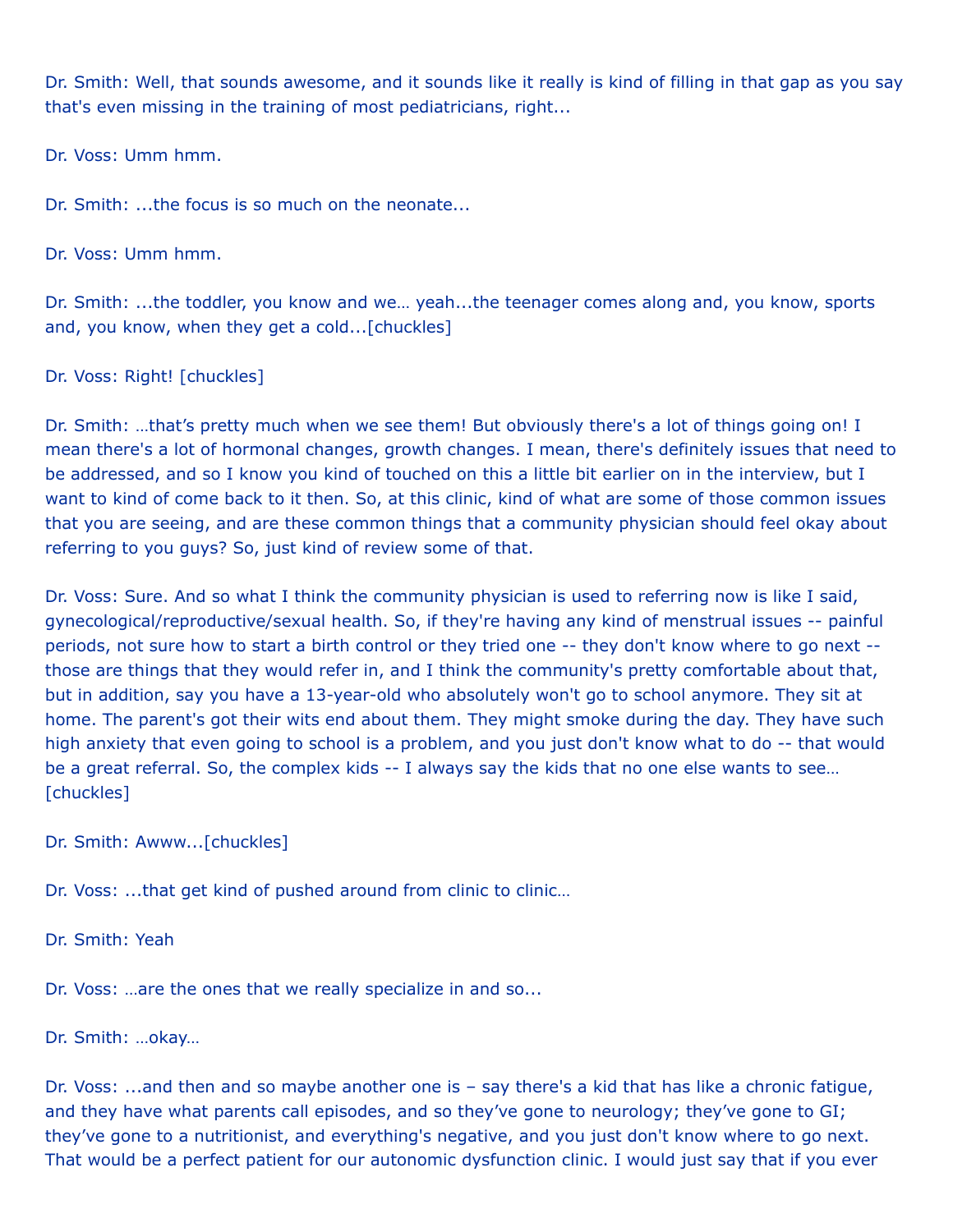Dr. Smith: Well, that sounds awesome, and it sounds like it really is kind of filling in that gap as you say that's even missing in the training of most pediatricians, right...

Dr. Voss: Umm hmm.

Dr. Smith: ...the focus is so much on the neonate...

Dr. Voss: Umm hmm.

Dr. Smith: ...the toddler, you know and we… yeah...the teenager comes along and, you know, sports and, you know, when they get a cold...[chuckles]

Dr. Voss: Right! [chuckles]

Dr. Smith: …that's pretty much when we see them! But obviously there's a lot of things going on! I mean there's a lot of hormonal changes, growth changes. I mean, there's definitely issues that need to be addressed, and so I know you kind of touched on this a little bit earlier on in the interview, but I want to kind of come back to it then. So, at this clinic, kind of what are some of those common issues that you are seeing, and are these common things that a community physician should feel okay about referring to you guys? So, just kind of review some of that.

Dr. Voss: Sure. And so what I think the community physician is used to referring now is like I said, gynecological/reproductive/sexual health. So, if they're having any kind of menstrual issues -- painful periods, not sure how to start a birth control or they tried one -- they don't know where to go next - those are things that they would refer in, and I think the community's pretty comfortable about that, but in addition, say you have a 13-year-old who absolutely won't go to school anymore. They sit at home. The parent's got their wits end about them. They might smoke during the day. They have such high anxiety that even going to school is a problem, and you just don't know what to do -- that would be a great referral. So, the complex kids -- I always say the kids that no one else wants to see… [chuckles]

Dr. Smith: Awww...[chuckles]

Dr. Voss: ...that get kind of pushed around from clinic to clinic...

Dr. Smith: Yeah

Dr. Voss: …are the ones that we really specialize in and so...

Dr. Smith: …okay…

Dr. Voss: ...and then and so maybe another one is – say there's a kid that has like a chronic fatigue, and they have what parents call episodes, and so they've gone to neurology; they've gone to GI; they've gone to a nutritionist, and everything's negative, and you just don't know where to go next. That would be a perfect patient for our autonomic dysfunction clinic. I would just say that if you ever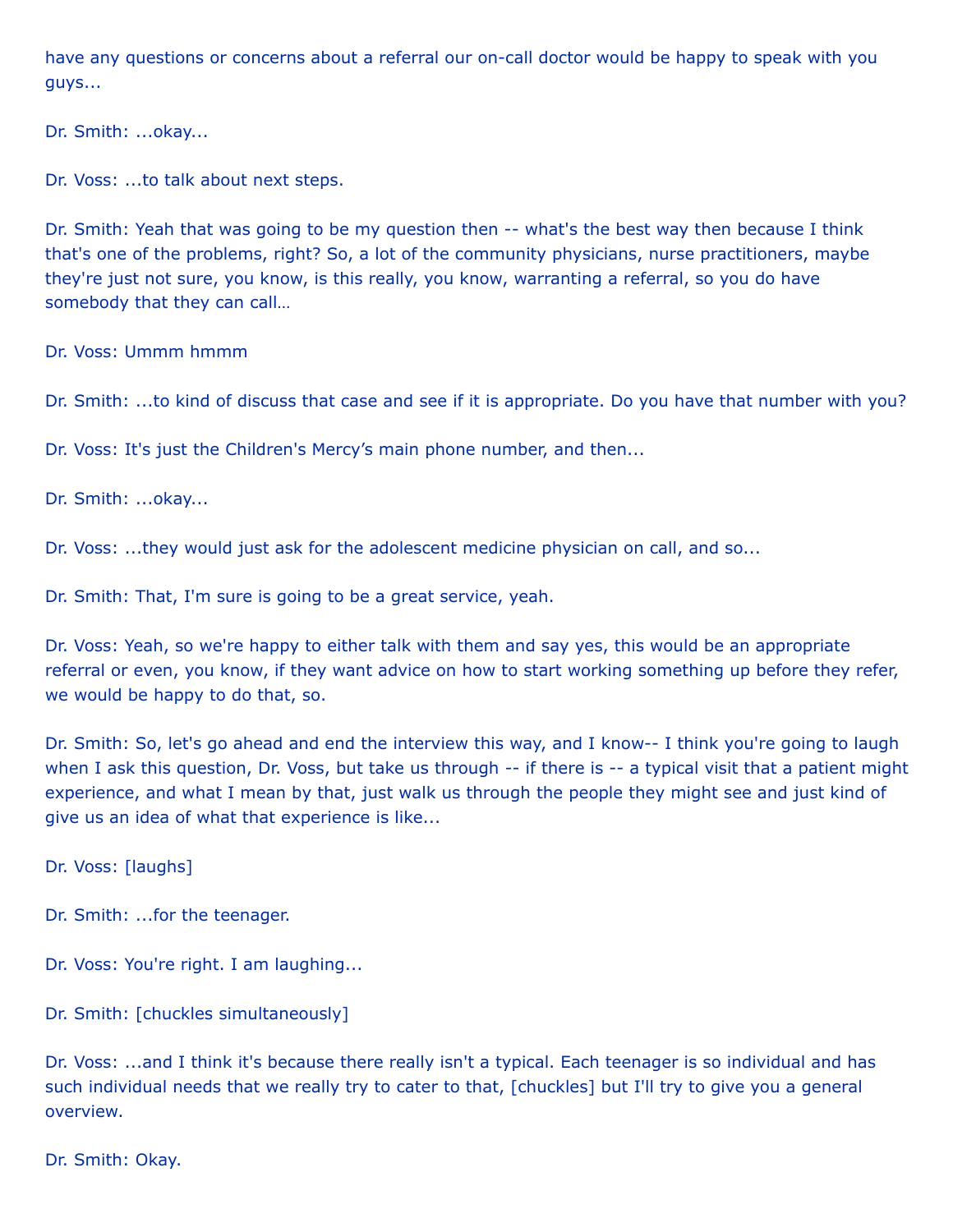have any questions or concerns about a referral our on-call doctor would be happy to speak with you guys...

Dr. Smith: ...okay...

Dr. Voss: ...to talk about next steps.

Dr. Smith: Yeah that was going to be my question then -- what's the best way then because I think that's one of the problems, right? So, a lot of the community physicians, nurse practitioners, maybe they're just not sure, you know, is this really, you know, warranting a referral, so you do have somebody that they can call…

Dr. Voss: Ummm hmmm

Dr. Smith: ...to kind of discuss that case and see if it is appropriate. Do you have that number with you?

Dr. Voss: It's just the Children's Mercy's main phone number, and then...

Dr. Smith: ...okay...

Dr. Voss: ...they would just ask for the adolescent medicine physician on call, and so...

Dr. Smith: That, I'm sure is going to be a great service, yeah.

Dr. Voss: Yeah, so we're happy to either talk with them and say yes, this would be an appropriate referral or even, you know, if they want advice on how to start working something up before they refer, we would be happy to do that, so.

Dr. Smith: So, let's go ahead and end the interview this way, and I know-- I think you're going to laugh when I ask this question, Dr. Voss, but take us through -- if there is -- a typical visit that a patient might experience, and what I mean by that, just walk us through the people they might see and just kind of give us an idea of what that experience is like...

Dr. Voss: [laughs]

Dr. Smith: ...for the teenager.

Dr. Voss: You're right. I am laughing...

Dr. Smith: [chuckles simultaneously]

Dr. Voss: ...and I think it's because there really isn't a typical. Each teenager is so individual and has such individual needs that we really try to cater to that, [chuckles] but I'll try to give you a general overview.

Dr. Smith: Okay.